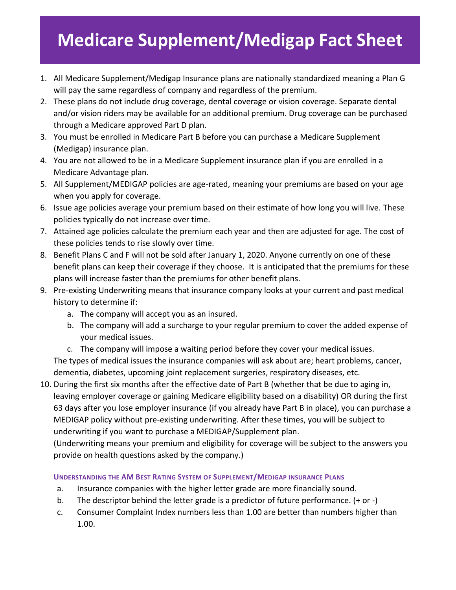## **Medicare Supplement/Medigap Fact Sheet**

- 1. All Medicare Supplement/Medigap Insurance plans are nationally standardized meaning a Plan G will pay the same regardless of company and regardless of the premium.
- 2. These plans do not include drug coverage, dental coverage or vision coverage. Separate dental and/or vision riders may be available for an additional premium. Drug coverage can be purchased through a Medicare approved Part D plan.
- 3. You must be enrolled in Medicare Part B before you can purchase a Medicare Supplement (Medigap) insurance plan.
- 4. You are not allowed to be in a Medicare Supplement insurance plan if you are enrolled in a Medicare Advantage plan.
- 5. All Supplement/MEDIGAP policies are age-rated, meaning your premiums are based on your age when you apply for coverage.
- 6. Issue age policies average your premium based on their estimate of how long you will live. These policies typically do not increase over time.
- 7. Attained age policies calculate the premium each year and then are adjusted for age. The cost of these policies tends to rise slowly over time.
- 8. Benefit Plans C and F will not be sold after January 1, 2020. Anyone currently on one of these benefit plans can keep their coverage if they choose. It is anticipated that the premiums for these plans will increase faster than the premiums for other benefit plans.
- 9. Pre-existing Underwriting means that insurance company looks at your current and past medical history to determine if:
	- a. The company will accept you as an insured.
	- b. The company will add a surcharge to your regular premium to cover the added expense of your medical issues.
	- c. The company will impose a waiting period before they cover your medical issues.

The types of medical issues the insurance companies will ask about are; heart problems, cancer, dementia, diabetes, upcoming joint replacement surgeries, respiratory diseases, etc.

10. During the first six months after the effective date of Part B (whether that be due to aging in, leaving employer coverage or gaining Medicare eligibility based on a disability) OR during the first 63 days after you lose employer insurance (if you already have Part B in place), you can purchase a MEDIGAP policy without pre-existing underwriting. After these times, you will be subject to underwriting if you want to purchase a MEDIGAP/Supplement plan.

(Underwriting means your premium and eligibility for coverage will be subject to the answers you provide on health questions asked by the company.)

## **UNDERSTANDING THE AM BEST RATING SYSTEM OF SUPPLEMENT/MEDIGAP INSURANCE PLANS**

- a. Insurance companies with the higher letter grade are more financially sound.
- b. The descriptor behind the letter grade is a predictor of future performance. (+ or -)
- c. Consumer Complaint Index numbers less than 1.00 are better than numbers higher than 1.00.